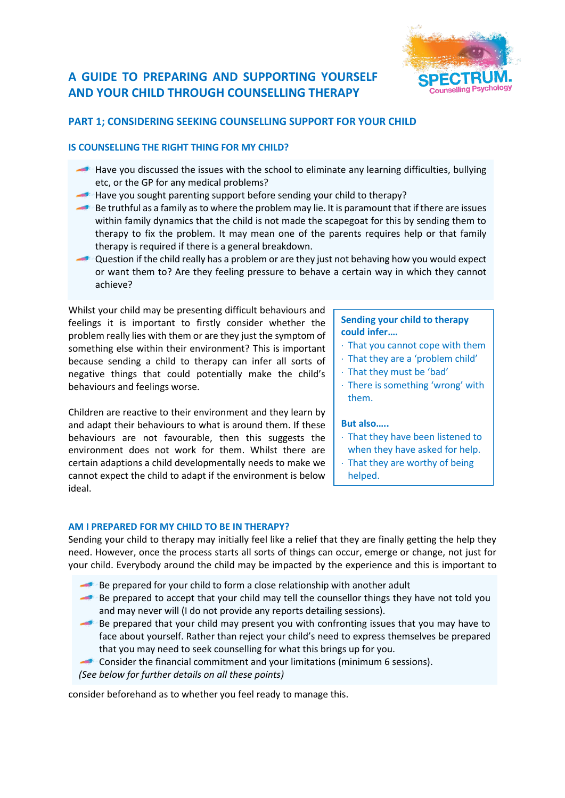# **A GUIDE TO PREPARING AND SUPPORTING YOURSELF AND YOUR CHILD THROUGH COUNSELLING THERAPY**



# **PART 1; CONSIDERING SEEKING COUNSELLING SUPPORT FOR YOUR CHILD**

# **IS COUNSELLING THE RIGHT THING FOR MY CHILD?**

- Have you discussed the issues with the school to eliminate any learning difficulties, bullying etc, or the GP for any medical problems?
- Have you sought parenting support before sending your child to therapy?
- Be truthful as a family as to where the problem may lie. It is paramount that if there are issues within family dynamics that the child is not made the scapegoat for this by sending them to therapy to fix the problem. It may mean one of the parents requires help or that family therapy is required if there is a general breakdown.
- Question if the child really has a problem or are they just not behaving how you would expect or want them to? Are they feeling pressure to behave a certain way in which they cannot achieve?

Whilst your child may be presenting difficult behaviours and feelings it is important to firstly consider whether the problem really lies with them or are they just the symptom of something else within their environment? This is important because sending a child to therapy can infer all sorts of negative things that could potentially make the child's behaviours and feelings worse.

Children are reactive to their environment and they learn by and adapt their behaviours to what is around them. If these behaviours are not favourable, then this suggests the environment does not work for them. Whilst there are certain adaptions a child developmentally needs to make we cannot expect the child to adapt if the environment is below ideal.

# **Sending your child to therapy could infer….**

- $\cdot$  That you cannot cope with them
- That they are a 'problem child'
- That they must be 'bad'
- There is something 'wrong' with them.

## **But also…..**

- That they have been listened to
- when they have asked for help.
- $\cdot$  That they are worthy of being helped.

## **AM I PREPARED FOR MY CHILD TO BE IN THERAPY?**

Sending your child to therapy may initially feel like a relief that they are finally getting the help they need. However, once the process starts all sorts of things can occur, emerge or change, not just for your child. Everybody around the child may be impacted by the experience and this is important to

- Be prepared for your child to form a close relationship with another adult
- Be prepared to accept that your child may tell the counsellor things they have not told you and may never will (I do not provide any reports detailing sessions).
- Be prepared that your child may present you with confronting issues that you may have to face about yourself. Rather than reject your child's need to express themselves be prepared that you may need to seek counselling for what this brings up for you.
- Consider the financial commitment and your limitations (minimum 6 sessions).
- *(See below for further details on all these points)*

consider beforehand as to whether you feel ready to manage this.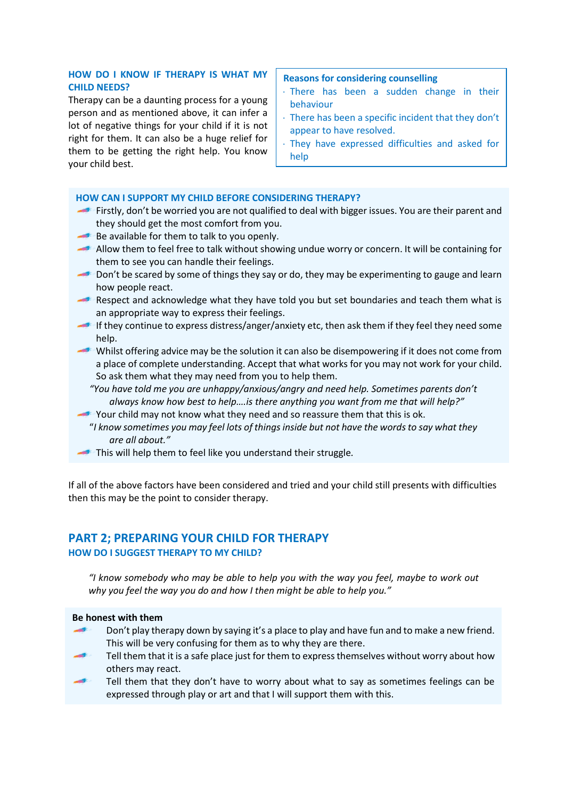# **HOW DO I KNOW IF THERAPY IS WHAT MY CHILD NEEDS?**

Therapy can be a daunting process for a young person and as mentioned above, it can infer a lot of negative things for your child if it is not right for them. It can also be a huge relief for them to be getting the right help. You know your child best.

### **Reasons for considering counselling**

- There has been a sudden change in their behaviour
- There has been a specific incident that they don't appear to have resolved.
- They have expressed difficulties and asked for help

## **HOW CAN I SUPPORT MY CHILD BEFORE CONSIDERING THERAPY?**

- Firstly, don't be worried you are not qualified to deal with bigger issues. You are their parent and they should get the most comfort from you.
- Be available for them to talk to you openly.
- Allow them to feel free to talk without showing undue worry or concern. It will be containing for them to see you can handle their feelings.
- Don't be scared by some of things they say or do, they may be experimenting to gauge and learn how people react.
- Respect and acknowledge what they have told you but set boundaries and teach them what is an appropriate way to express their feelings.
- If they continue to express distress/anger/anxiety etc, then ask them if they feel they need some help.
- Whilst offering advice may be the solution it can also be disempowering if it does not come from a place of complete understanding. Accept that what works for you may not work for your child. So ask them what they may need from you to help them.
	- *"You have told me you are unhappy/anxious/angry and need help. Sometimes parents don't always know how best to help….is there anything you want from me that will help?"*
- Your child may not know what they need and so reassure them that this is ok.
	- "*I know sometimes you may feel lots of things inside but not have the words to say what they are all about."*
- This will help them to feel like you understand their struggle*.*

If all of the above factors have been considered and tried and your child still presents with difficulties then this may be the point to consider therapy.

# **PART 2; PREPARING YOUR CHILD FOR THERAPY HOW DO I SUGGEST THERAPY TO MY CHILD?**

*"I know somebody who may be able to help you with the way you feel, maybe to work out why you feel the way you do and how I then might be able to help you."*

#### **Be honest with them**

- Don't play therapy down by saying it's a place to play and have fun and to make a new friend. This will be very confusing for them as to why they are there.
- Tell them that it is a safe place just for them to express themselves without worry about how others may react.
- Tell them that they don't have to worry about what to say as sometimes feelings can be expressed through play or art and that I will support them with this.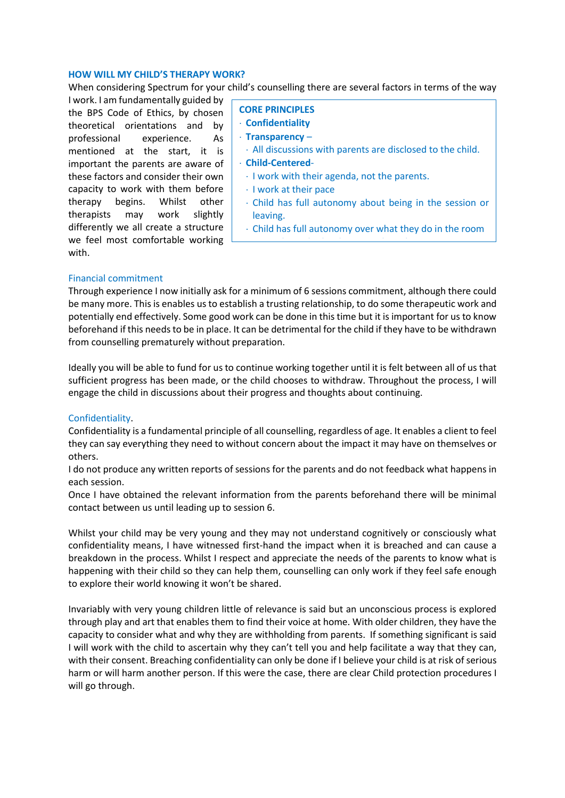#### **HOW WILL MY CHILD'S THERAPY WORK?**

When considering Spectrum for your child's counselling there are several factors in terms of the way

I work. I am fundamentally guided by the BPS Code of Ethics, by chosen theoretical orientations and by professional experience. As mentioned at the start, it is important the parents are aware of these factors and consider their own capacity to work with them before therapy begins. Whilst other therapists may work slightly differently we all create a structure we feel most comfortable working with.

- **CORE PRINCIPLES**
- **Confidentiality**
- **Transparency** –
- All discussions with parents are disclosed to the child.
- **Child-Centered**
	- I work with their agenda, not the parents.

Normal social rules do not apply in therapy

- $\cdot$  I work at their pace
- Child has full autonomy about being in the session or leaving.
- Child has full autonomy over what they do in the room

## Financial commitment

Through experience I now initially ask for a minimum of 6 sessions commitment, although there could be many more. This is enables us to establish a trusting relationship, to do some therapeutic work and potentially end effectively. Some good work can be done in this time but it is important for us to know beforehand if this needs to be in place. It can be detrimental for the child if they have to be withdrawn from counselling prematurely without preparation.

Ideally you will be able to fund for us to continue working together until it is felt between all of us that sufficient progress has been made, or the child chooses to withdraw. Throughout the process, I will engage the child in discussions about their progress and thoughts about continuing.

# Confidentiality.

Confidentiality is a fundamental principle of all counselling, regardless of age. It enables a client to feel they can say everything they need to without concern about the impact it may have on themselves or others.

I do not produce any written reports of sessions for the parents and do not feedback what happens in each session.

Once I have obtained the relevant information from the parents beforehand there will be minimal contact between us until leading up to session 6.

Whilst your child may be very young and they may not understand cognitively or consciously what confidentiality means, I have witnessed first-hand the impact when it is breached and can cause a breakdown in the process. Whilst I respect and appreciate the needs of the parents to know what is happening with their child so they can help them, counselling can only work if they feel safe enough to explore their world knowing it won't be shared.

Invariably with very young children little of relevance is said but an unconscious process is explored through play and art that enables them to find their voice at home. With older children, they have the capacity to consider what and why they are withholding from parents. If something significant is said I will work with the child to ascertain why they can't tell you and help facilitate a way that they can, with their consent. Breaching confidentiality can only be done if I believe your child is at risk of serious harm or will harm another person. If this were the case, there are clear Child protection procedures I will go through.